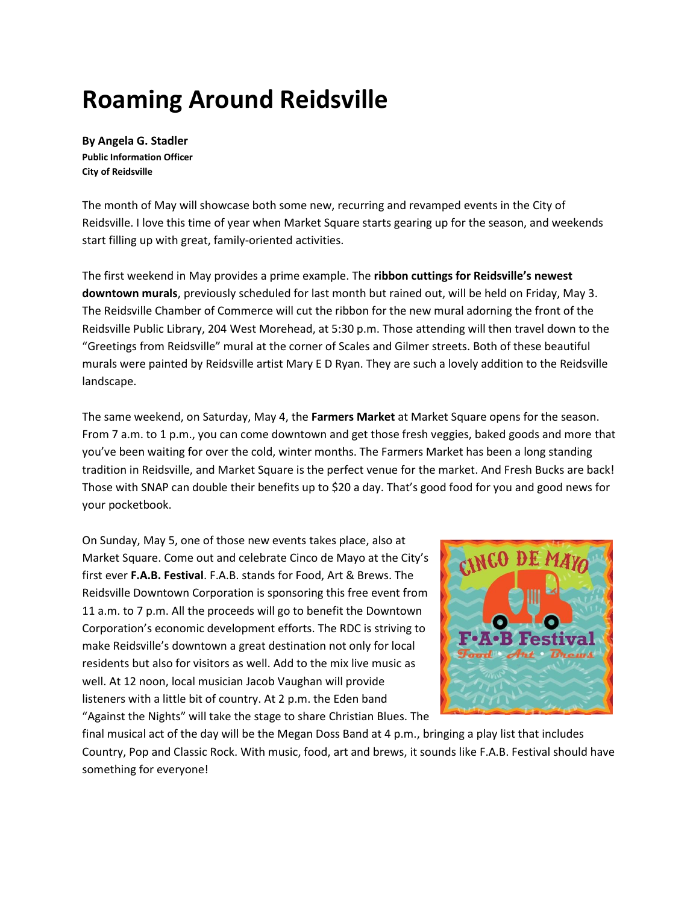## **Roaming Around Reidsville**

**By Angela G. Stadler Public Information Officer City of Reidsville**

The month of May will showcase both some new, recurring and revamped events in the City of Reidsville. I love this time of year when Market Square starts gearing up for the season, and weekends start filling up with great, family-oriented activities.

The first weekend in May provides a prime example. The **ribbon cuttings for Reidsville's newest downtown murals**, previously scheduled for last month but rained out, will be held on Friday, May 3. The Reidsville Chamber of Commerce will cut the ribbon for the new mural adorning the front of the Reidsville Public Library, 204 West Morehead, at 5:30 p.m. Those attending will then travel down to the "Greetings from Reidsville" mural at the corner of Scales and Gilmer streets. Both of these beautiful murals were painted by Reidsville artist Mary E D Ryan. They are such a lovely addition to the Reidsville landscape.

The same weekend, on Saturday, May 4, the **Farmers Market** at Market Square opens for the season. From 7 a.m. to 1 p.m., you can come downtown and get those fresh veggies, baked goods and more that you've been waiting for over the cold, winter months. The Farmers Market has been a long standing tradition in Reidsville, and Market Square is the perfect venue for the market. And Fresh Bucks are back! Those with SNAP can double their benefits up to \$20 a day. That's good food for you and good news for your pocketbook.

On Sunday, May 5, one of those new events takes place, also at Market Square. Come out and celebrate Cinco de Mayo at the City's first ever **F.A.B. Festival**. F.A.B. stands for Food, Art & Brews. The Reidsville Downtown Corporation is sponsoring this free event from 11 a.m. to 7 p.m. All the proceeds will go to benefit the Downtown Corporation's economic development efforts. The RDC is striving to make Reidsville's downtown a great destination not only for local residents but also for visitors as well. Add to the mix live music as well. At 12 noon, local musician Jacob Vaughan will provide listeners with a little bit of country. At 2 p.m. the Eden band "Against the Nights" will take the stage to share Christian Blues. The



final musical act of the day will be the Megan Doss Band at 4 p.m., bringing a play list that includes Country, Pop and Classic Rock. With music, food, art and brews, it sounds like F.A.B. Festival should have something for everyone!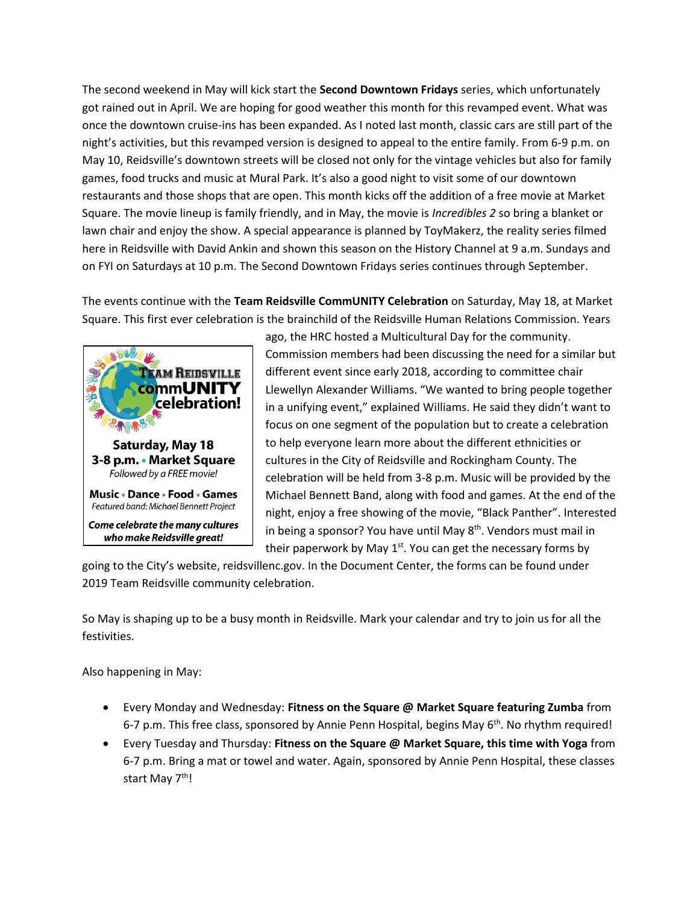The second weekend in May will kick start the **Second Downtown Fridays** series, which unfortunately got rained out in April. We are hoping for good weather this month for this revamped event. What was once the downtown cruise-ins has been expanded. As I noted last month, classic cars are still part of the night's activities, but this revamped version is designed to appeal to the entire family. From 6-9 p.m. on May 10, Reidsville's downtown streets will be closed not only for the vintage vehicles but also for family games, food trucks and music at Mural Park. It's also a good night to visit some of our downtown restaurants and those shops that are open. This month kicks off the addition of a free movie at Market Square. The movie lineup is family friendly, and in May, the movie is *Incredibles 2* so bring a blanket or lawn chair and enjoy the show. A special appearance is planned by ToyMakerz, the reality series filmed here in Reidsville with David Ankin and shown this season on the History Channel at 9 a.m. Sundays and on FYI on Saturdays at 10 p.m. The Second Downtown Fridays series continues through September.

The events continue with the **Team Reidsville CommUNITY Celebration** on Saturday, May 18, at Market Square. This first ever celebration is the brainchild of the Reidsville Human Relations Commission. Years



ago, the HRC hosted a Multicultural Day for the community. Commission members had been discussing the need for a similar but different event since early 2018, according to committee chair Llewellyn Alexander Williams. "We wanted to bring people together in a unifying event," explained Williams. He said they didn't want to focus on one segment of the population but to create a celebration to help everyone learn more about the different ethnicities or cultures in the City of Reidsville and Rockingham County. The celebration will be held from 3-8 p.m. Music will be provided by the Michael Bennett Band, along with food and games. At the end of the night, enjoy a free showing of the movie, "Black Panther". Interested in being a sponsor? You have until May  $8<sup>th</sup>$ . Vendors must mail in their paperwork by May  $1<sup>st</sup>$ . You can get the necessary forms by

going to the City's website, reidsvillenc.gov. In the Document Center, the forms can be found under 2019 Team Reidsville community celebration.

So May is shaping up to be a busy month in Reidsville. Mark your calendar and try to join us for all the festivities.

Also happening in May:

- Every Monday and Wednesday: **Fitness on the Square @ Market Square featuring Zumba** from 6-7 p.m. This free class, sponsored by Annie Penn Hospital, begins May  $6<sup>th</sup>$ . No rhythm required!
- Every Tuesday and Thursday: **Fitness on the Square @ Market Square, this time with Yoga** from 6-7 p.m. Bring a mat or towel and water. Again, sponsored by Annie Penn Hospital, these classes start May 7<sup>th</sup>!